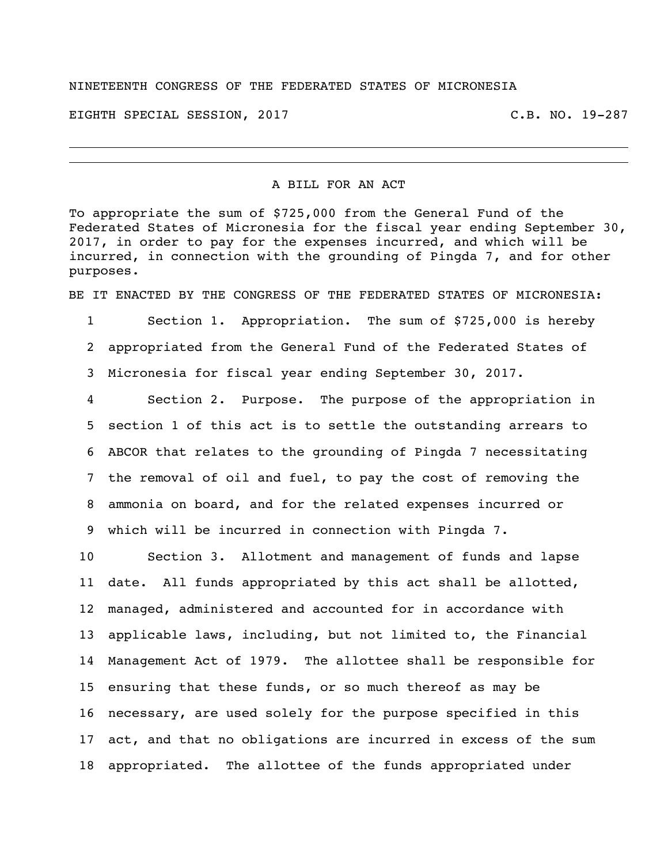## NINETEENTH CONGRESS OF THE FEDERATED STATES OF MICRONESIA

EIGHTH SPECIAL SESSION, 2017 C.B. NO. 19-287

## A BILL FOR AN ACT

To appropriate the sum of \$725,000 from the General Fund of the Federated States of Micronesia for the fiscal year ending September 30, 2017, in order to pay for the expenses incurred, and which will be incurred, in connection with the grounding of Pingda 7, and for other purposes.

BE IT ENACTED BY THE CONGRESS OF THE FEDERATED STATES OF MICRONESIA:

 Section 1. Appropriation. The sum of \$725,000 is hereby appropriated from the General Fund of the Federated States of Micronesia for fiscal year ending September 30, 2017.

 Section 2. Purpose. The purpose of the appropriation in section 1 of this act is to settle the outstanding arrears to ABCOR that relates to the grounding of Pingda 7 necessitating the removal of oil and fuel, to pay the cost of removing the ammonia on board, and for the related expenses incurred or which will be incurred in connection with Pingda 7.

 Section 3. Allotment and management of funds and lapse date. All funds appropriated by this act shall be allotted, managed, administered and accounted for in accordance with applicable laws, including, but not limited to, the Financial Management Act of 1979. The allottee shall be responsible for ensuring that these funds, or so much thereof as may be necessary, are used solely for the purpose specified in this act, and that no obligations are incurred in excess of the sum appropriated. The allottee of the funds appropriated under